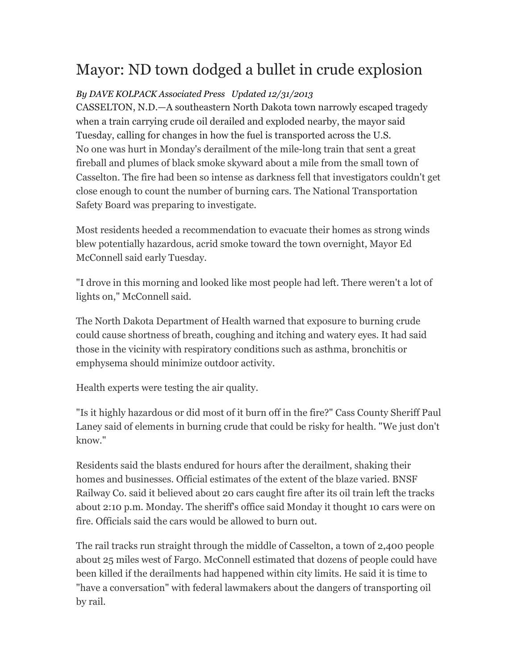## Mayor: ND town dodged a bullet in crude explosion

## *By DAVE KOLPACK Associated Press Updated 12/31/2013*

CASSELTON, N.D.—A southeastern North Dakota town narrowly escaped tragedy when a train carrying crude oil derailed and exploded nearby, the mayor said Tuesday, calling for changes in how the fuel is transported across the U.S. No one was hurt in Monday's derailment of the mile-long train that sent a great fireball and plumes of black smoke skyward about a mile from the small town of Casselton. The fire had been so intense as darkness fell that investigators couldn't get close enough to count the number of burning cars. The National Transportation Safety Board was preparing to investigate.

Most residents heeded a recommendation to evacuate their homes as strong winds blew potentially hazardous, acrid smoke toward the town overnight, Mayor Ed McConnell said early Tuesday.

"I drove in this morning and looked like most people had left. There weren't a lot of lights on," McConnell said.

The North Dakota Department of Health warned that exposure to burning crude could cause shortness of breath, coughing and itching and watery eyes. It had said those in the vicinity with respiratory conditions such as asthma, bronchitis or emphysema should minimize outdoor activity.

Health experts were testing the air quality.

"Is it highly hazardous or did most of it burn off in the fire?" Cass County Sheriff Paul Laney said of elements in burning crude that could be risky for health. "We just don't know."

Residents said the blasts endured for hours after the derailment, shaking their homes and businesses. Official estimates of the extent of the blaze varied. BNSF Railway Co. said it believed about 20 cars caught fire after its oil train left the tracks about 2:10 p.m. Monday. The sheriff's office said Monday it thought 10 cars were on fire. Officials said the cars would be allowed to burn out.

The rail tracks run straight through the middle of Casselton, a town of 2,400 people about 25 miles west of Fargo. McConnell estimated that dozens of people could have been killed if the derailments had happened within city limits. He said it is time to "have a conversation" with federal lawmakers about the dangers of transporting oil by rail.